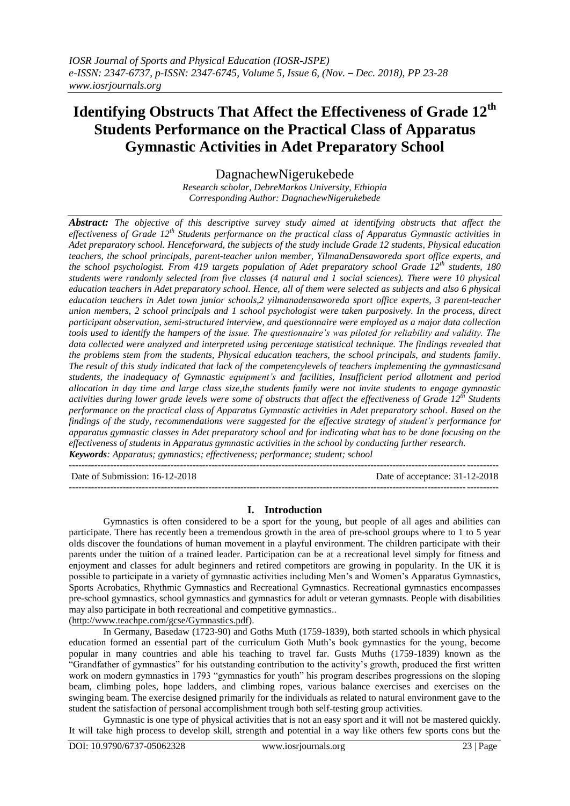# **Identifying Obstructs That Affect the Effectiveness of Grade 12th Students Performance on the Practical Class of Apparatus Gymnastic Activities in Adet Preparatory School**

DagnachewNigerukebede

*Research scholar, DebreMarkos University, Ethiopia Corresponding Author: DagnachewNigerukebede*

*Abstract: The objective of this descriptive survey study aimed at identifying obstructs that affect the effectiveness of Grade 12th Students performance on the practical class of Apparatus Gymnastic activities in Adet preparatory school. Henceforward, the subjects of the study include Grade 12 students, Physical education teachers, the school principals, parent-teacher union member, YilmanaDensaworeda sport office experts, and the school psychologist. From 419 targets population of Adet preparatory school Grade 12th students, 180 students were randomly selected from five classes (4 natural and 1 social sciences). There were 10 physical education teachers in Adet preparatory school. Hence, all of them were selected as subjects and also 6 physical education teachers in Adet town junior schools,2 yilmanadensaworeda sport office experts, 3 parent-teacher union members, 2 school principals and 1 school psychologist were taken purposively. In the process, direct participant observation, semi-structured interview, and questionnaire were employed as a major data collection tools used to identify the hampers of the issue. The questionnaire's was piloted for reliability and validity. The data collected were analyzed and interpreted using percentage statistical technique. The findings revealed that the problems stem from the students, Physical education teachers, the school principals, and students family. The result of this study indicated that lack of the competencylevels of teachers implementing the gymnasticsand students, the inadequacy of Gymnastic equipment's and facilities, Insufficient period allotment and period allocation in day time and large class size,the students family were not invite students to engage gymnastic activities during lower grade levels were some of obstructs that affect the effectiveness of Grade 12th Students performance on the practical class of Apparatus Gymnastic activities in Adet preparatory school. Based on the findings of the study, recommendations were suggested for the effective strategy of student's performance for apparatus gymnastic classes in Adet preparatory school and for indicating what has to be done focusing on the effectiveness of students in Apparatus gymnastic activities in the school by conducting further research. Keywords: Apparatus; gymnastics; effectiveness; performance; student; school*

Date of Submission: 16-12-2018 Date of acceptance: 31-12-2018

**I. Introduction**

---------------------------------------------------------------------------------------------------------------------------------------

---------------------------------------------------------------------------------------------------------------------------------------

Gymnastics is often considered to be a sport for the young, but people of all ages and abilities can participate. There has recently been a tremendous growth in the area of pre-school groups where to 1 to 5 year olds discover the foundations of human movement in a playful environment. The children participate with their parents under the tuition of a trained leader. Participation can be at a recreational level simply for fitness and enjoyment and classes for adult beginners and retired competitors are growing in popularity. In the UK it is possible to participate in a variety of gymnastic activities including Men's and Women's Apparatus Gymnastics, Sports Acrobatics, Rhythmic Gymnastics and Recreational Gymnastics. Recreational gymnastics encompasses pre-school gymnastics, school gymnastics and gymnastics for adult or veteran gymnasts. People with disabilities may also participate in both recreational and competitive gymnastics..

[\(http://www.teachpe.com/gcse/Gymnastics.pdf\)](http://www.teachpe.com/gcse/Gymnastics.pdf).

In Germany, Basedaw (1723-90) and Goths Muth (1759-1839), both started schools in which physical education formed an essential part of the curriculum Goth Muth's book gymnastics for the young, become popular in many countries and able his teaching to travel far. Gusts Muths (1759-1839) known as the "Grandfather of gymnastics" for his outstanding contribution to the activity's growth, produced the first written work on modern gymnastics in 1793 "gymnastics for youth" his program describes progressions on the sloping beam, climbing poles, hope ladders, and climbing ropes, various balance exercises and exercises on the swinging beam. The exercise designed primarily for the individuals as related to natural environment gave to the student the satisfaction of personal accomplishment trough both self-testing group activities.

Gymnastic is one type of physical activities that is not an easy sport and it will not be mastered quickly. It will take high process to develop skill, strength and potential in a way like others few sports cons but the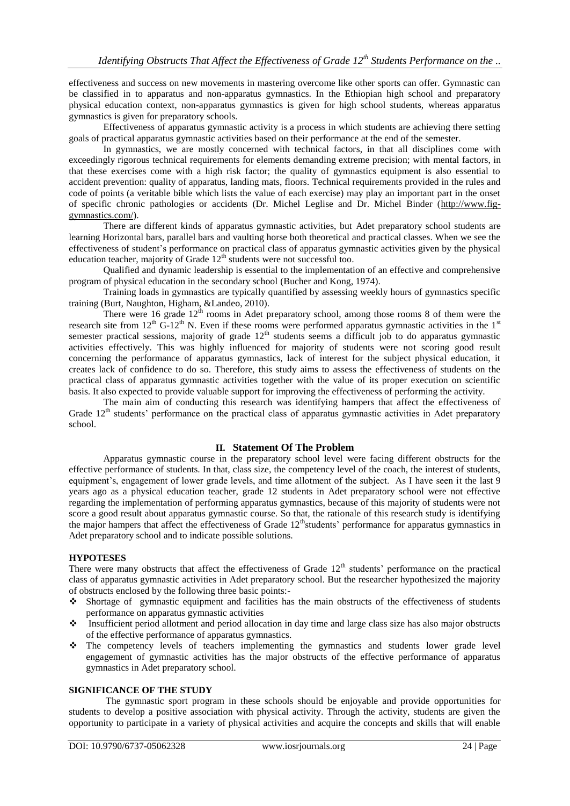effectiveness and success on new movements in mastering overcome like other sports can offer. Gymnastic can be classified in to apparatus and non-apparatus gymnastics. In the Ethiopian high school and preparatory physical education context, non-apparatus gymnastics is given for high school students, whereas apparatus gymnastics is given for preparatory schools.

Effectiveness of apparatus gymnastic activity is a process in which students are achieving there setting goals of practical apparatus gymnastic activities based on their performance at the end of the semester.

In gymnastics, we are mostly concerned with technical factors, in that all disciplines come with exceedingly rigorous technical requirements for elements demanding extreme precision; with mental factors, in that these exercises come with a high risk factor; the quality of gymnastics equipment is also essential to accident prevention: quality of apparatus, landing mats, floors. Technical requirements provided in the rules and code of points (a veritable bible which lists the value of each exercise) may play an important part in the onset of specific chronic pathologies or accidents (Dr. Michel Leglise and Dr. Michel Binder [\(http://www.fig](http://www.fig-gymnastics.com/)[gymnastics.com/\)](http://www.fig-gymnastics.com/).

There are different kinds of apparatus gymnastic activities, but Adet preparatory school students are learning Horizontal bars, parallel bars and vaulting horse both theoretical and practical classes. When we see the effectiveness of student's performance on practical class of apparatus gymnastic activities given by the physical education teacher, majority of Grade  $12<sup>th</sup>$  students were not successful too.

Qualified and dynamic leadership is essential to the implementation of an effective and comprehensive program of physical education in the secondary school (Bucher and Kong, 1974).

Training loads in gymnastics are typically quantified by assessing weekly hours of gymnastics specific training (Burt, Naughton, Higham, &Landeo, 2010).

There were 16 grade  $12<sup>th</sup>$  rooms in Adet preparatory school, among those rooms 8 of them were the research site from  $12^{th}$  G-12<sup>th</sup> N. Even if these rooms were performed apparatus gymnastic activities in the  $1<sup>st</sup>$ semester practical sessions, majority of grade  $12<sup>th</sup>$  students seems a difficult job to do apparatus gymnastic activities effectively. This was highly influenced for majority of students were not scoring good result concerning the performance of apparatus gymnastics, lack of interest for the subject physical education, it creates lack of confidence to do so. Therefore, this study aims to assess the effectiveness of students on the practical class of apparatus gymnastic activities together with the value of its proper execution on scientific basis. It also expected to provide valuable support for improving the effectiveness of performing the activity.

The main aim of conducting this research was identifying hampers that affect the effectiveness of Grade  $12<sup>th</sup>$  students' performance on the practical class of apparatus gymnastic activities in Adet preparatory school.

## **II. Statement Of The Problem**

Apparatus gymnastic course in the preparatory school level were facing different obstructs for the effective performance of students. In that, class size, the competency level of the coach, the interest of students, equipment's, engagement of lower grade levels, and time allotment of the subject. As I have seen it the last 9 years ago as a physical education teacher, grade 12 students in Adet preparatory school were not effective regarding the implementation of performing apparatus gymnastics, because of this majority of students were not score a good result about apparatus gymnastic course. So that, the rationale of this research study is identifying the major hampers that affect the effectiveness of Grade  $12^{\text{th}}$ students' performance for apparatus gymnastics in Adet preparatory school and to indicate possible solutions.

#### **HYPOTESES**

There were many obstructs that affect the effectiveness of Grade  $12<sup>th</sup>$  students' performance on the practical class of apparatus gymnastic activities in Adet preparatory school. But the researcher hypothesized the majority of obstructs enclosed by the following three basic points:-

- Shortage of gymnastic equipment and facilities has the main obstructs of the effectiveness of students performance on apparatus gymnastic activities
- Insufficient period allotment and period allocation in day time and large class size has also major obstructs of the effective performance of apparatus gymnastics.
- The competency levels of teachers implementing the gymnastics and students lower grade level engagement of gymnastic activities has the major obstructs of the effective performance of apparatus gymnastics in Adet preparatory school.

#### **SIGNIFICANCE OF THE STUDY**

The gymnastic sport program in these schools should be enjoyable and provide opportunities for students to develop a positive association with physical activity. Through the activity, students are given the opportunity to participate in a variety of physical activities and acquire the concepts and skills that will enable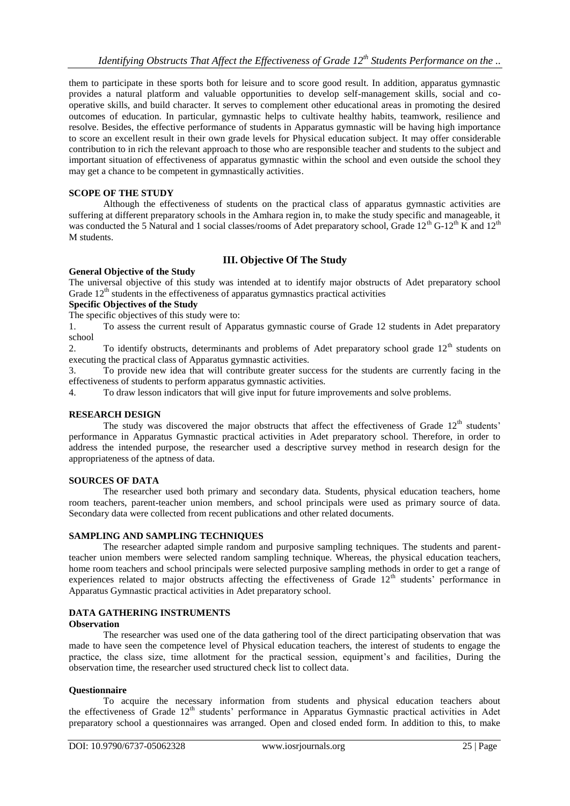them to participate in these sports both for leisure and to score good result. In addition, apparatus gymnastic provides a natural platform and valuable opportunities to develop self-management skills, social and cooperative skills, and build character. It serves to complement other educational areas in promoting the desired outcomes of education. In particular, gymnastic helps to cultivate healthy habits, teamwork, resilience and resolve. Besides, the effective performance of students in Apparatus gymnastic will be having high importance to score an excellent result in their own grade levels for Physical education subject. It may offer considerable contribution to in rich the relevant approach to those who are responsible teacher and students to the subject and important situation of effectiveness of apparatus gymnastic within the school and even outside the school they may get a chance to be competent in gymnastically activities.

#### **SCOPE OF THE STUDY**

Although the effectiveness of students on the practical class of apparatus gymnastic activities are suffering at different preparatory schools in the Amhara region in, to make the study specific and manageable, it was conducted the 5 Natural and 1 social classes/rooms of Adet preparatory school, Grade  $12^{th}$  G-12<sup>th</sup> K and  $12^{th}$ M students.

## **III. Objective Of The Study**

## **General Objective of the Study**

The universal objective of this study was intended at to identify major obstructs of Adet preparatory school Grade  $12<sup>th</sup>$  students in the effectiveness of apparatus gymnastics practical activities

#### **Specific Objectives of the Study**

The specific objectives of this study were to:

1. To assess the current result of Apparatus gymnastic course of Grade 12 students in Adet preparatory school

2. To identify obstructs, determinants and problems of Adet preparatory school grade 12<sup>th</sup> students on executing the practical class of Apparatus gymnastic activities.

3. To provide new idea that will contribute greater success for the students are currently facing in the effectiveness of students to perform apparatus gymnastic activities.

4. To draw lesson indicators that will give input for future improvements and solve problems.

#### **RESEARCH DESIGN**

The study was discovered the major obstructs that affect the effectiveness of Grade  $12<sup>th</sup>$  students' performance in Apparatus Gymnastic practical activities in Adet preparatory school. Therefore, in order to address the intended purpose, the researcher used a descriptive survey method in research design for the appropriateness of the aptness of data.

#### **SOURCES OF DATA**

The researcher used both primary and secondary data. Students, physical education teachers, home room teachers, parent-teacher union members, and school principals were used as primary source of data. Secondary data were collected from recent publications and other related documents.

#### **SAMPLING AND SAMPLING TECHNIQUES**

The researcher adapted simple random and purposive sampling techniques. The students and parentteacher union members were selected random sampling technique. Whereas, the physical education teachers, home room teachers and school principals were selected purposive sampling methods in order to get a range of experiences related to major obstructs affecting the effectiveness of Grade 12<sup>th</sup> students' performance in Apparatus Gymnastic practical activities in Adet preparatory school.

## **DATA GATHERING INSTRUMENTS**

## **Observation**

The researcher was used one of the data gathering tool of the direct participating observation that was made to have seen the competence level of Physical education teachers, the interest of students to engage the practice, the class size, time allotment for the practical session, equipment's and facilities, During the observation time, the researcher used structured check list to collect data.

#### **Questionnaire**

To acquire the necessary information from students and physical education teachers about the effectiveness of Grade 12<sup>th</sup> students' performance in Apparatus Gymnastic practical activities in Adet preparatory school a questionnaires was arranged. Open and closed ended form. In addition to this, to make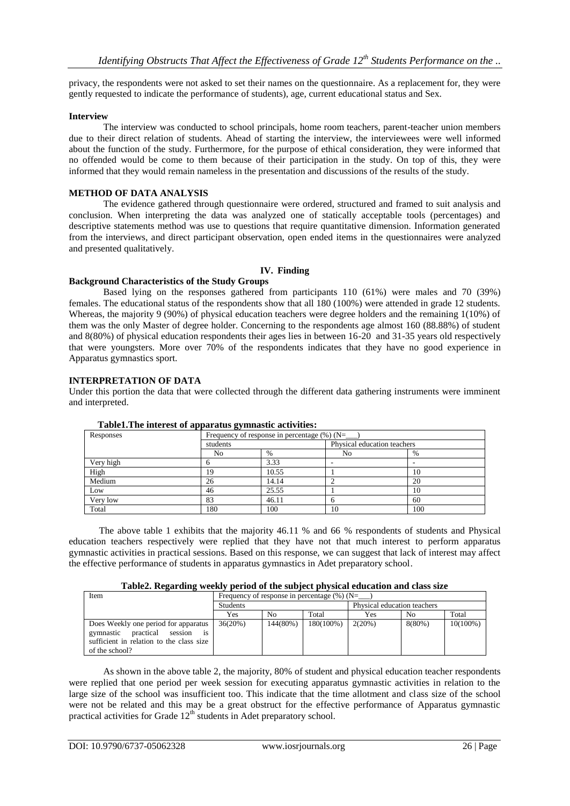privacy, the respondents were not asked to set their names on the questionnaire. As a replacement for, they were gently requested to indicate the performance of students), age, current educational status and Sex.

#### **Interview**

The interview was conducted to school principals, home room teachers, parent-teacher union members due to their direct relation of students. Ahead of starting the interview, the interviewees were well informed about the function of the study. Furthermore, for the purpose of ethical consideration, they were informed that no offended would be come to them because of their participation in the study. On top of this, they were informed that they would remain nameless in the presentation and discussions of the results of the study.

#### **METHOD OF DATA ANALYSIS**

The evidence gathered through questionnaire were ordered, structured and framed to suit analysis and conclusion. When interpreting the data was analyzed one of statically acceptable tools (percentages) and descriptive statements method was use to questions that require quantitative dimension. Information generated from the interviews, and direct participant observation, open ended items in the questionnaires were analyzed and presented qualitatively.

## **IV. Finding**

#### **Background Characteristics of the Study Groups**

Based lying on the responses gathered from participants 110 (61%) were males and 70 (39%) females. The educational status of the respondents show that all 180 (100%) were attended in grade 12 students. Whereas, the majority 9 (90%) of physical education teachers were degree holders and the remaining 1(10%) of them was the only Master of degree holder. Concerning to the respondents age almost 160 (88.88%) of student and 8(80%) of physical education respondents their ages lies in between 16-20 and 31-35 years old respectively that were youngsters. More over 70% of the respondents indicates that they have no good experience in Apparatus gymnastics sport.

#### **INTERPRETATION OF DATA**

Under this portion the data that were collected through the different data gathering instruments were imminent and interpreted.

| rasiverent murrest or apparatus gymnastic actricities. |                |                                                |                             |      |  |  |  |
|--------------------------------------------------------|----------------|------------------------------------------------|-----------------------------|------|--|--|--|
| Responses                                              |                | Frequency of response in percentage $(\%)$ (N= |                             |      |  |  |  |
|                                                        | students       |                                                | Physical education teachers |      |  |  |  |
|                                                        | N <sub>o</sub> | $\%$                                           | N <sub>o</sub>              | $\%$ |  |  |  |
| Very high                                              |                | 3.33                                           |                             |      |  |  |  |
| High                                                   | 19             | 10.55                                          |                             | 10   |  |  |  |
| Medium                                                 | 26             | 14.14                                          |                             | 20   |  |  |  |
| Low                                                    | 46             | 25.55                                          |                             | 10   |  |  |  |
| Very low                                               | 83             | 46.11                                          |                             | 60   |  |  |  |
| Total                                                  | 180            | 100                                            | 10                          | 100  |  |  |  |

#### **Table1.The interest of apparatus gymnastic activities:**

The above table 1 exhibits that the majority 46.11 % and 66 % respondents of students and Physical education teachers respectively were replied that they have not that much interest to perform apparatus gymnastic activities in practical sessions. Based on this response, we can suggest that lack of interest may affect the effective performance of students in apparatus gymnastics in Adet preparatory school.

| Table2. Regarding weekly period of the subject physical education and class size |  |  |  |  |  |  |  |  |
|----------------------------------------------------------------------------------|--|--|--|--|--|--|--|--|
|----------------------------------------------------------------------------------|--|--|--|--|--|--|--|--|

| Item                                                                                                                                          | Frequency of response in percentage $(\%)(N=$ |          |           |                             |           |             |
|-----------------------------------------------------------------------------------------------------------------------------------------------|-----------------------------------------------|----------|-----------|-----------------------------|-----------|-------------|
|                                                                                                                                               | <b>Students</b>                               |          |           | Physical education teachers |           |             |
|                                                                                                                                               | Yes                                           | No.      | Total     | Yes                         | No        | Total       |
| Does Weekly one period for apparatus<br>practical<br>gymnastic<br>is<br>session<br>sufficient in relation to the class size<br>of the school? | 36(20%)                                       | 144(80%) | 180(100%) | 2(20%)                      | $8(80\%)$ | $10(100\%)$ |

As shown in the above table 2, the majority, 80% of student and physical education teacher respondents were replied that one period per week session for executing apparatus gymnastic activities in relation to the large size of the school was insufficient too. This indicate that the time allotment and class size of the school were not be related and this may be a great obstruct for the effective performance of Apparatus gymnastic practical activities for Grade  $12<sup>th</sup>$  students in Adet preparatory school.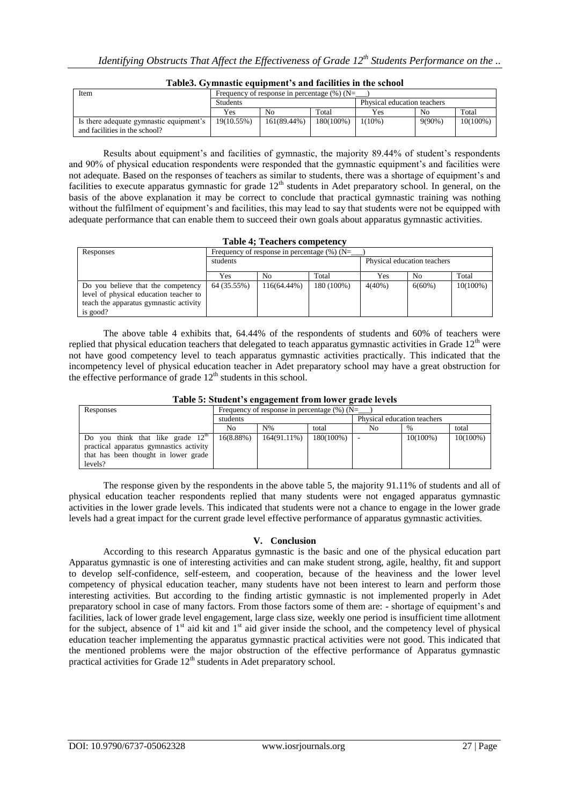| Item                                                                     | Frequency of response in percentage $(\%)(N=$ |                             |           |           |                |          |
|--------------------------------------------------------------------------|-----------------------------------------------|-----------------------------|-----------|-----------|----------------|----------|
|                                                                          | <b>Students</b>                               | Physical education teachers |           |           |                |          |
|                                                                          | Yes                                           | N <sub>0</sub>              | Total     | Yes       | N <sub>0</sub> | Total    |
| Is there adequate gymnastic equipment's<br>and facilities in the school? | 19(10.55%)                                    | 161(89.44%)                 | 180(100%) | $1(10\%)$ | $9(90\%)$      | 10(100%) |

## **Table3. Gymnastic equipment's and facilities in the school**

Results about equipment's and facilities of gymnastic, the majority 89.44% of student's respondents and 90% of physical education respondents were responded that the gymnastic equipment's and facilities were not adequate. Based on the responses of teachers as similar to students, there was a shortage of equipment's and facilities to execute apparatus gymnastic for grade  $12<sup>th</sup>$  students in Adet preparatory school. In general, on the basis of the above explanation it may be correct to conclude that practical gymnastic training was nothing without the fulfilment of equipment's and facilities, this may lead to say that students were not be equipped with adequate performance that can enable them to succeed their own goals about apparatus gymnastic activities.

|  |  |  | <b>Table 4; Teachers competency</b> |
|--|--|--|-------------------------------------|
|--|--|--|-------------------------------------|

| Responses                                                                                                                          | Frequency of response in percentage $(\%)$ (N= |                |            |                             |           |             |  |
|------------------------------------------------------------------------------------------------------------------------------------|------------------------------------------------|----------------|------------|-----------------------------|-----------|-------------|--|
|                                                                                                                                    | students                                       |                |            | Physical education teachers |           |             |  |
|                                                                                                                                    | Yes                                            | N <sub>0</sub> | Total      | Yes                         | No.       | Total       |  |
| Do you believe that the competency<br>level of physical education teacher to<br>teach the apparatus gymnastic activity<br>is good? | 64 (35.55%)                                    | 116(64.44%)    | 180 (100%) | $4(40\%)$                   | $6(60\%)$ | $10(100\%)$ |  |

The above table 4 exhibits that, 64.44% of the respondents of students and 60% of teachers were replied that physical education teachers that delegated to teach apparatus gymnastic activities in Grade  $12<sup>th</sup>$  were not have good competency level to teach apparatus gymnastic activities practically. This indicated that the incompetency level of physical education teacher in Adet preparatory school may have a great obstruction for the effective performance of grade  $12<sup>th</sup>$  students in this school.

| Table 5: Student's engagement from lower grade levels |
|-------------------------------------------------------|
|-------------------------------------------------------|

| Responses                                        | Frequency of response in percentage $(\%)$ (N= |                |              |                             |             |             |
|--------------------------------------------------|------------------------------------------------|----------------|--------------|-----------------------------|-------------|-------------|
|                                                  | students                                       |                |              | Physical education teachers |             |             |
|                                                  | No                                             | $N\%$          | total        | No                          | $\%$        | total       |
| you think that like grade 12 <sup>th</sup><br>Do | 16(8.88%)                                      | $164(91.11\%)$ | $180(100\%)$ |                             | $10(100\%)$ | $10(100\%)$ |
| practical apparatus gymnastics activity          |                                                |                |              |                             |             |             |
| that has been thought in lower grade             |                                                |                |              |                             |             |             |
| levels?                                          |                                                |                |              |                             |             |             |

The response given by the respondents in the above table 5, the majority 91.11% of students and all of physical education teacher respondents replied that many students were not engaged apparatus gymnastic activities in the lower grade levels. This indicated that students were not a chance to engage in the lower grade levels had a great impact for the current grade level effective performance of apparatus gymnastic activities.

## **V. Conclusion**

According to this research Apparatus gymnastic is the basic and one of the physical education part Apparatus gymnastic is one of interesting activities and can make student strong, agile, healthy, fit and support to develop self-confidence, self-esteem, and cooperation, because of the heaviness and the lower level competency of physical education teacher, many students have not been interest to learn and perform those interesting activities. But according to the finding artistic gymnastic is not implemented properly in Adet preparatory school in case of many factors. From those factors some of them are: - shortage of equipment's and facilities, lack of lower grade level engagement, large class size, weekly one period is insufficient time allotment for the subject, absence of  $1<sup>st</sup>$  aid kit and  $1<sup>st</sup>$  aid giver inside the school, and the competency level of physical education teacher implementing the apparatus gymnastic practical activities were not good. This indicated that the mentioned problems were the major obstruction of the effective performance of Apparatus gymnastic practical activities for Grade  $12<sup>th</sup>$  students in Adet preparatory school.